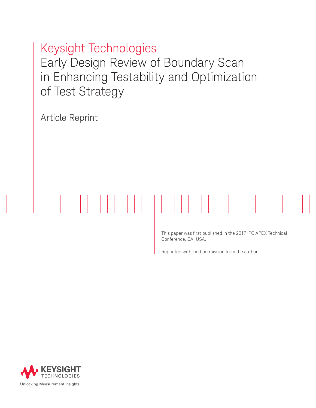Keysight Technologies Early Design Review of Boundary Scan in Enhancing Testability and Optimization of Test Strategy

Article Reprint

This paper was first published in the 2017 IPC APEX Technical Conference, CA, USA.

Reprinted with kind permission from the author.

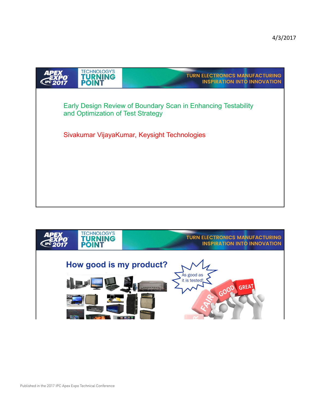



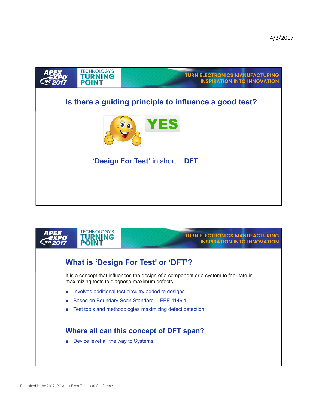

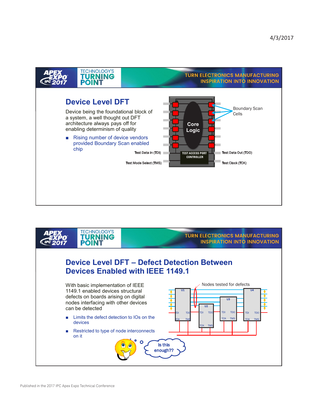

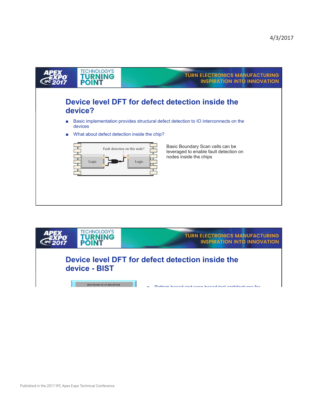

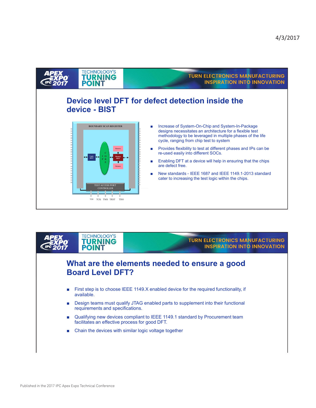

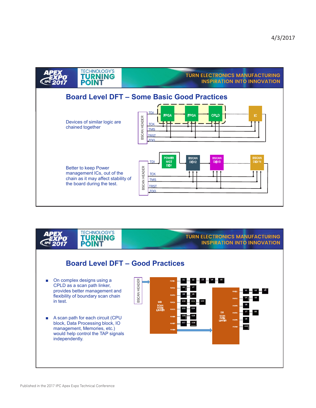



## **TURN ELECTRONICS MANUFACTURING INSPIRATION INTO INNOVATION**